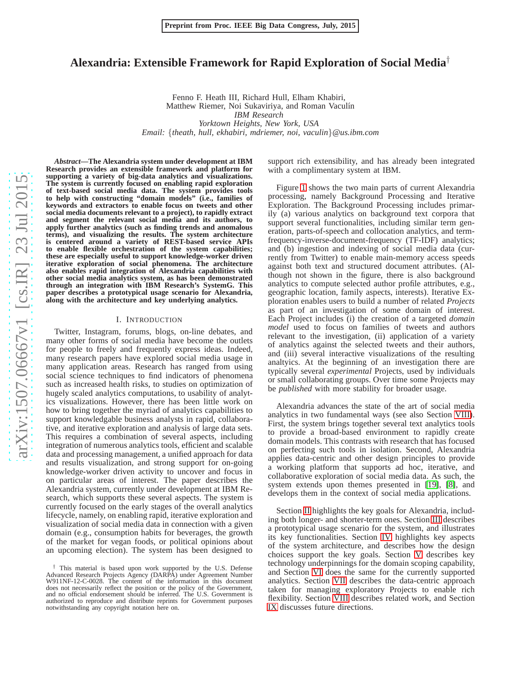# **Alexandria: Extensible Framework for Rapid Exploration of Social Media** †

Fenno F. Heath III, Richard Hull, Elham Khabiri, Matthew Riemer, Noi Sukaviriya, and Roman Vaculín *IBM Research Yorktown Heights, New York, USA Email:* {*theath, hull, ekhabiri, mdriemer, noi, vaculin* }*@us.ibm.com*

*Abstract***—The Alexandria system under development at IBM Research provides an extensible framework and platform for supporting a variety of big-data analytics and visualizations. The system is currently focused on enabling rapid exploration of text-based social media data. The system provides tools to help with constructing "domain models" (i.e., families o f keywords and extractors to enable focus on tweets and other social media documents relevant to a project), to rapidly extract and segment the relevant social media and its authors, to apply further analytics (such as finding trends and anomalou s terms), and visualizing the results. The system architecture is centered around a variety of REST-based service APIs to enable flexible orchestration of the system capabilities ; these are especially useful to support knowledge-worker driven iterative exploration of social phenomena. The architecture also enables rapid integration of Alexandria capabilities with other social media analytics system, as has been demonstrated through an integration with IBM Research's SystemG. This paper describes a prototypical usage scenario for Alexandria, along with the architecture and key underlying analytics.**

#### I. INTRODUCTION

Twitter, Instagram, forums, blogs, on-line debates, and many other forms of social media have become the outlets for people to freely and frequently express ideas. Indeed, many research papers have explored social media usage in many application areas. Research has ranged from using social science techniques to find indicators of phenomena such as increased health risks, to studies on optimization o f hugely scaled analytics computations, to usability of analytics visualizations. However, there has been little work on how to bring together the myriad of analytics capabilities to support knowledgable business analysts in rapid, collaborative, and iterative exploration and analysis of large data sets. This requires a combination of several aspects, including integration of numerous analytics tools, efficient and scalable data and processing management, a unified approach for data and results visualization, and strong support for on-going knowledge-worker driven activity to uncover and focus in on particular areas of interest. The paper describes the Alexandria system, currently under development at IBM Research, which supports these several aspects. The system is currently focused on the early stages of the overall analytics lifecycle, namely, on enabling rapid, iterative exploration and visualization of social media data in connection with a give n domain (e.g., consumption habits for beverages, the growth of the market for vegan foods, or political opinions about an upcoming election). The system has been designed to

support rich extensibility, and has already been integrate d with a complimentary system at IBM.

Figure [1](#page-1-0) shows the two main parts of current Alexandria processing, namely Background Processing and Iterative Exploration. The Background Processing includes primarily (a) various analytics on background text corpora that support several functionalities, including similar term generation, parts-of-speech and collocation analytics, and termfrequency-inverse-document-frequency (TF-IDF) analytics; and (b) ingestion and indexing of social media data (currently from Twitter) to enable main-memory access speeds against both text and structured document attributes. (Although not shown in the figure, there is also background analytics to compute selected author profile attributes, e.g., geographic location, family aspects, interests). Iterative Exploration enables users to build a number of related *Projects* as part of an investigation of some domain of interest. Each Project includes (i) the creation of a targeted *domain model* used to focus on families of tweets and authors relevant to the investigation, (ii) application of a variety of analytics against the selected tweets and their authors, and (iii) several interactive visualizations of the resulting analtyics. At the beginning of an investigation there are typically several *experimental* Projects, used by individuals or small collaborating groups. Over time some Projects may be *published* with more stability for broader usage.

Alexandria advances the state of the art of social media analytics in two fundamental ways (see also Section [VIII\)](#page-6-0). First, the system brings together several text analytics tools to provide a broad-based environment to rapidly create domain models. This contrasts with research that has focuse d on perfecting such tools in isolation. Second, Alexandria applies data-centric and other design principles to provid e a working platform that supports ad hoc, iterative, and collaborative exploration of social media data. As such, th e system extends upon themes presented in [\[19\]](#page-7-0), [\[8\]](#page-7-1), and develops them in the context of social media applications.

Section [II](#page-1-1) highlights the key goals for Alexandria, including both longer- and shorter-term ones. Section [III](#page-1-2) describes a prototypical usage scenario for the system, and illustrates its key functionalities. Section [IV](#page-3-0) highlights key aspects of the system architecture, and describes how the design choices support the key goals. Section [V](#page-4-0) describes key technology underpinnings for the domain scoping capability, and Section [VI](#page-5-0) does the same for the currently supported analytics. Section [VII](#page-6-1) describes the data-centric approac h taken for managing exploratory Projects to enable rich flexibility. Section [VIII](#page-6-0) describes related work, and Section [IX](#page-7-2) discusses future directions.

<sup>†</sup> This material is based upon work supported by the U.S. Defense Advanced Research Projects Agency (DARPA) under Agreement Number W911NF-12-C-0028. The content of the information in this document does not necessarily reflect the position or the policy of the Government, and no official endorsement should be inferred. The U.S. Government is authorized to reproduce and distribute reprints for Government purposes notwithstanding any copyright notation here on.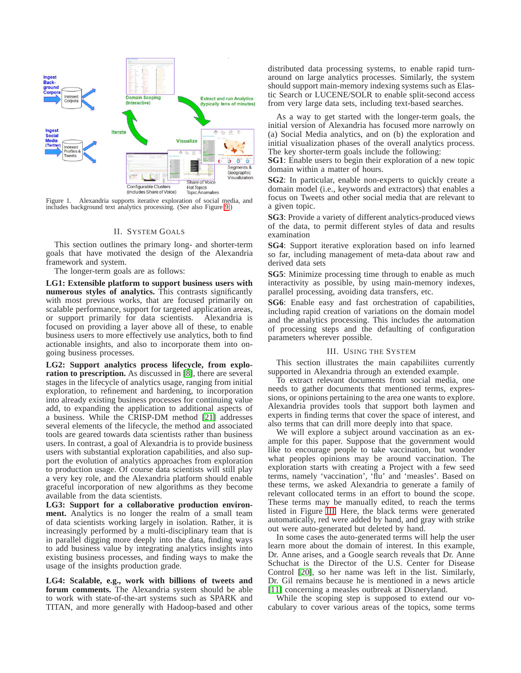

<span id="page-1-1"></span><span id="page-1-0"></span>Figure 1. Alexandria supports iterative exploration of social media, and includes background text analytics processing. (See also Figure [9.](#page-4-1))

## II. SYSTEM GOALS

This section outlines the primary long- and shorter-term goals that have motivated the design of the Alexandria framework and system.

The longer-term goals are as follows:

**LG1: Extensible platform to support business users with numerous styles of analytics.** This contrasts significantly with most previous works, that are focused primarily on scalable performance, support for targeted application areas, or support primarily for data scientists. Alexandria is focused on providing a layer above all of these, to enable business users to more effectively use analytics, both to find actionable insights, and also to incorporate them into ongoing business processes.

**LG2: Support analytics process lifecycle, from exploration to prescription.** As discussed in [\[8\]](#page-7-1), there are several stages in the lifecycle of analytics usage, ranging from initial exploration, to refinement and hardening, to incorporation into already existing business processes for continuing value add, to expanding the application to additional aspects of a business. While the CRISP-DM method [\[21\]](#page-7-3) addresses several elements of the lifecycle, the method and associated tools are geared towards data scientists rather than business users. In contrast, a goal of Alexandria is to provide business users with substantial exploration capabilities, and also support the evolution of analytics approaches from exploration to production usage. Of course data scientists will still play a very key role, and the Alexandria platform should enable graceful incorporation of new algorithms as they become available from the data scientists.

**LG3: Support for a collaborative production environment.** Analytics is no longer the realm of a small team of data scientists working largely in isolation. Rather, it is increasingly performed by a multi-disciplinary team that is in parallel digging more deeply into the data, finding ways to add business value by integrating analytics insights into existing business processes, and finding ways to make the usage of the insights production grade.

**LG4: Scalable, e.g., work with billions of tweets and forum comments.** The Alexandria system should be able to work with state-of-the-art systems such as SPARK and TITAN, and more generally with Hadoop-based and other distributed data processing systems, to enable rapid turnaround on large analytics processes. Similarly, the system should support main-memory indexing systems such as Elastic Search or LUCENE/SOLR to enable split-second access from very large data sets, including text-based searches.

As a way to get started with the longer-term goals, the initial version of Alexandria has focused more narrowly on (a) Social Media analytics, and on (b) the exploration and initial visualization phases of the overall analytics process. The key shorter-term goals include the following:

**SG1**: Enable users to begin their exploration of a new topic domain within a matter of hours.

**SG2**: In particular, enable non-experts to quickly create a domain model (i.e., keywords and extractors) that enables a focus on Tweets and other social media that are relevant to a given topic.

**SG3**: Provide a variety of different analytics-produced views of the data, to permit different styles of data and results examination

**SG4**: Support iterative exploration based on info learned so far, including management of meta-data about raw and derived data sets

**SG5**: Minimize processing time through to enable as much interactivity as possible, by using main-memory indexes, parallel processing, avoiding data transfers, etc.

**SG6**: Enable easy and fast orchestration of capabilities, including rapid creation of variations on the domain model and the analytics processing. This includes the automation of processing steps and the defaulting of configuration parameters wherever possible.

### III. USING THE SYSTEM

<span id="page-1-2"></span>This section illustrates the main capabiliites currently supported in Alexandria through an extended example.

To extract relevant documents from social media, one needs to gather documents that mentioned terms, expressions, or opinions pertaining to the area one wants to explore. Alexandria provides tools that support both laymen and experts in finding terms that cover the space of interest, and also terms that can drill more deeply into that space.

We will explore a subject around vaccination as an example for this paper. Suppose that the government would like to encourage people to take vaccination, but wonder what peoples opinions may be around vaccination. The exploration starts with creating a Project with a few seed terms, namely 'vaccination', 'flu' and 'measles'. Based on these terms, we asked Alexandria to generate a family of relevant collocated terms in an effort to bound the scope. These terms may be manually edited, to reach the terms listed in Figure [III.](#page-1-2) Here, the black terms were generated automatically, red were added by hand, and gray with strike out were auto-generated but deleted by hand.

In some cases the auto-generated terms will help the user learn more about the domain of interest. In this example, Dr. Anne arises, and a Google search reveals that Dr. Anne Schuchat is the Director of the U.S. Center for Disease Control [\[20\]](#page-7-4), so her name was left in the list. Similarly, Dr. Gil remains because he is mentioned in a news article [\[11\]](#page-7-5) concerning a measles outbreak at Disneryland.

While the scoping step is supposed to extend our vocabulary to cover various areas of the topics, some terms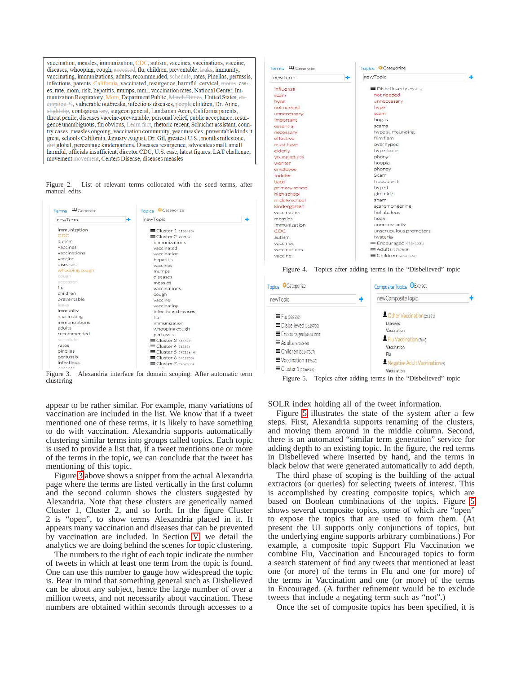vaccination, measles, immunization, CDC, autism, vaccines, vaccinations, vaccine, diseases, whooping, cough, accessed, flu, children, preventable, leaks, immunity, vaccinating, immunizations, adults, recommended, schedule, rates, Pinellas, pertussis, infectious, parents, California, vaccinated, resurgence, harmful, cervical, moms, cases, rate, mom, risk, hepatitis, mumps, mmr, vaccination rates, National Center, Immunization Respiratory, Mom, Department Public, March Dimes, United States, exemption %, vulnerable outbreaks, infectious diseases, people children, Dr. Anne, slight dip, contagious key, surgeon general, Landsman Aeon, California parents, throat penile, diseases vaccine-preventable, personal belief, public acceptance, resurgence unambiguous, flu obvious, Learn fact, rhetoric recent, Schuchat assistant, country cases, measles ongoing, vaccination community, year measles, preventable kinds, t great, schools California, January August, Dr. Gil, greatest U.S., months milestone, dirt global, percentage kindergartens, Diseases resurgence, advocates small, small harmful, officials insufficient, director CDC, U.S. case, latest figures, LAT challenge, movement movement, Centers Disease, diseases measles

Figure 2. List of relevant terms collocated with the seed terms, after manual edits

| newTerm        | newTopic<br>÷        |  |  |  |
|----------------|----------------------|--|--|--|
| immunization   | Cluster 1 (1156493)  |  |  |  |
| CDC            | Cluster 2 (799152)   |  |  |  |
| autism         | immunizations        |  |  |  |
| vaccines       | vaccinated           |  |  |  |
| vaccinations   | vaccination          |  |  |  |
| vaccine        | hepatitis.           |  |  |  |
| diseases       | vaccines             |  |  |  |
| whooping cough | mumps                |  |  |  |
| cough          | diseases             |  |  |  |
| accessed       | measles              |  |  |  |
| flu.           | vaccinations         |  |  |  |
| children       | cough                |  |  |  |
| preventable    | vaccine              |  |  |  |
| leaks          | vaccinating          |  |  |  |
| immunity       | infectious diseases  |  |  |  |
| vaccinating    | $f _{11}$            |  |  |  |
| immunizations  | immunization         |  |  |  |
| adults         | whooping cough       |  |  |  |
| recommended    | pertussis            |  |  |  |
| schedule       | Cluster 3 (464459)   |  |  |  |
| rates          | Cluster 4 (71585)    |  |  |  |
| pinellas       | Cluster 5 (17315644) |  |  |  |
| pertussis      | Cluster 6 (1412903)  |  |  |  |
| infectious     | Cluster 7/1957585)   |  |  |  |
| parante        | 1.11                 |  |  |  |

<span id="page-2-0"></span>Figure 3. Alexandria interface for domain scoping: After automatic term clustering

appear to be rather similar. For example, many variations of vaccination are included in the list. We know that if a tweet mentioned one of these terms, it is likely to have something to do with vaccination. Alexandria supports automatically clustering similar terms into groups called topics. Each topic is used to provide a list that, if a tweet mentions one or more of the terms in the topic, we can conclude that the tweet has mentioning of this topic.

Figure [3](#page-2-0) above shows a snippet from the actual Alexandria page where the terms are listed vertically in the first column and the second column shows the clusters suggested by Alexandria. Note that these clusters are generically named Cluster 1, Cluster 2, and so forth. In the figure Cluster 2 is "open", to show terms Alexandria placed in it. It appears many vaccination and diseases that can be prevented by vaccination are included. In Section [V,](#page-4-0) we detail the analytics we are doing behind the scenes for topic clustering.

The numbers to the right of each topic indicate the number of tweets in which at least one term from the topic is found. One can use this number to gauge how widespread the topic is. Bear in mind that something general such as Disbelieved can be about any subject, hence the large number of over a million tweets, and not necessarily about vaccination. These numbers are obtained within seconds through accesses to a

| newTerm        | new Topic<br>÷         |  |  |  |
|----------------|------------------------|--|--|--|
| influenza      | Disbelieved (1629705)  |  |  |  |
| scam           | not needed             |  |  |  |
| hype           | unnecessary            |  |  |  |
| not needed     | hype                   |  |  |  |
| unnecessary    | scam                   |  |  |  |
| important      | bogus                  |  |  |  |
| essential      | scams.                 |  |  |  |
| necessary      | hype surrounding       |  |  |  |
| effective      | flim flam              |  |  |  |
| must have      | overhyped              |  |  |  |
| elderly        | hyperbole              |  |  |  |
| young adults   | phony                  |  |  |  |
| worker         | hoopla                 |  |  |  |
| employee       | phoney                 |  |  |  |
| toddler        | Scam.                  |  |  |  |
| baby           | fraudulent             |  |  |  |
| primary school | hyped                  |  |  |  |
| high school    | gimmick                |  |  |  |
| middle school  | sham                   |  |  |  |
| kindergarten   | scaremongering         |  |  |  |
| vaccination    | hullabaloos            |  |  |  |
| measles        | hoax.                  |  |  |  |
| immunization   | unnecessarily          |  |  |  |
| CDC            | unscrupulous promoters |  |  |  |
| autism         | hysteria               |  |  |  |
| vaccines       | Encouraged (45341331)  |  |  |  |
| vaccinations   | Adults (5737848)       |  |  |  |
| vaccine        | Children (56147567)    |  |  |  |

Figure 4. Topics after adding terms in the "Disbelieved" topic

| Categorize<br>Topics<br>newTopic<br>÷                                                                                                                             |  | Composite Topics OExtract                                                                                                                                    |  |  |
|-------------------------------------------------------------------------------------------------------------------------------------------------------------------|--|--------------------------------------------------------------------------------------------------------------------------------------------------------------|--|--|
|                                                                                                                                                                   |  | newCompositeTopic                                                                                                                                            |  |  |
| $\equiv$ Flu(228532)<br>Disbelieved (1629705)<br>Encouraged (45341331)<br>Adults (5737848)<br>Children (56147567)<br>Vaccination (119626)<br>■ Cluster 1(1156493) |  | Cther Vaccination (21131)<br><b>Diseases</b><br>Vaccination<br>Flu Vaccination (7640)<br>Vaccination<br>Flu<br>Negative Adult Vaccination (5)<br>Vaccination |  |  |

<span id="page-2-1"></span>Figure 5. Topics after adding terms in the "Disbelieved" topic

SOLR index holding all of the tweet information.

Figure [5](#page-2-1) illustrates the state of the system after a few steps. First, Alexandria supports renaming of the clusters, and moving them around in the middle column. Second, there is an automated "similar term generation" service for adding depth to an existing topic. In the figure, the red terms in Disbelieved where inserted by hand, and the terms in black below that were generated automatically to add depth.

The third phase of scoping is the building of the actual extractors (or queries) for selecting tweets of interest. This is accomplished by creating composite topics, which are based on Boolean combinations of the topics. Figure [5](#page-2-1) shows several composite topics, some of which are "open" to expose the topics that are used to form them. (At present the UI supports only conjunctions of topics, but the underlying engine supports arbitrary combinations.) For example, a composite topic Support Flu Vaccination we combine Flu, Vaccination and Encouraged topics to form a search statement of find any tweets that mentioned at least one (or more) of the terms in Flu and one (or more) of the terms in Vaccination and one (or more) of the terms in Encouraged. (A further refinement would be to exclude tweets that include a negating term such as "not".)

Once the set of composite topics has been specified, it is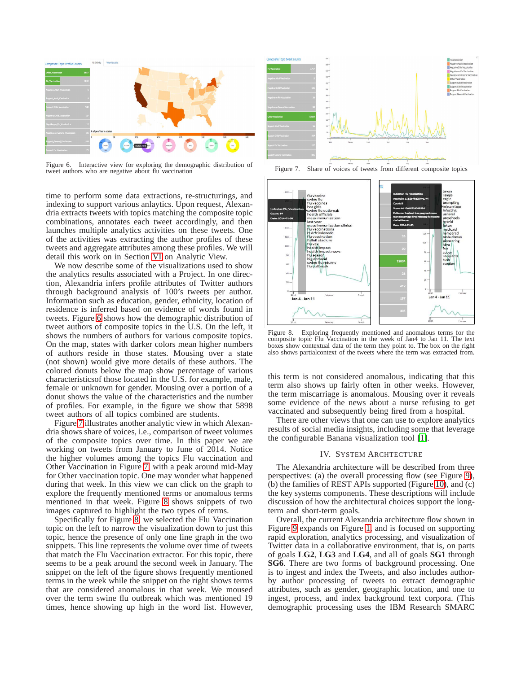

<span id="page-3-1"></span>Figure 6. Interactive view for exploring the demographic distribution of tweet authors who are negative about flu vaccination

time to perform some data extractions, re-structurings, and indexing to support various anlaytics. Upon request, Alexandria extracts tweets with topics matching the composite topic combinations, annotates each tweet accordingly, and then launches multiple analytics activities on these tweets. One of the activities was extracting the author profiles of these tweets and aggregate attributes among these profiles. We will detail this work on in Section [VI](#page-5-0) on Analytic View.

We now describe some of the visualizations used to show the analytics results associated with a Project. In one direction, Alexandria infers profile attributes of Twitter authors through background analysis of 100's tweets per author. Information such as education, gender, ethnicity, location of residence is inferred based on evidence of words found in tweets. Figure [6](#page-3-1) shows how the demographic distribution of tweet authors of composite topics in the U.S. On the left, it shows the numbers of authors for various composite topics. On the map, states with darker colors mean higher numbers of authors reside in those states. Mousing over a state (not shown) would give more details of these authors. The colored donuts below the map show percentage of various characteristicsof those located in the U.S. for example, male, female or unknown for gender. Mousing over a portion of a donut shows the value of the characteristics and the number of profiles. For example, in the figure we show that 5898 tweet authors of all topics combined are students.

Figure [7](#page-3-2) illustrates another analytic view in which Alexandria shows share of voices, i.e., comparison of tweet volumes of the composite topics over time. In this paper we are working on tweets from January to June of 2014. Notice the higher volumes among the topics Flu vaccination and Other Vaccination in Figure [7,](#page-3-2) with a peak around mid-May for Other vaccination topic. One may wonder what happened during that week. In this view we can click on the graph to explore the frequently mentioned terms or anomalous terms mentioned in that week. Figure [8](#page-3-3) shows snippets of two images captured to highlight the two types of terms.

Specifically for Figure [8,](#page-3-3) we selected the Flu Vaccination topic on the left to narrow the visualization down to just this topic, hence the presence of only one line graph in the two snippets. This line represents the volume over time of tweets that match the Flu Vaccination extractor. For this topic, there seems to be a peak around the second week in January. The snippet on the left of the figure shows frequently mentioned terms in the week while the snippet on the right shows terms that are considered anomalous in that week. We moused over the term swine flu outbreak which was mentioned 19 times, hence showing up high in the word list. However,



<span id="page-3-2"></span>Figure 7. Share of voices of tweets from different composite topics



<span id="page-3-3"></span>Figure 8. Exploring frequently mentioned and anomalous terms for the composite topic Flu Vaccination in the week of Jan4 to Jan 11. The text boxes show contextual data of the term they point to. The box on the right also shows partialcontext of the tweets where the term was extracted from.

this term is not considered anomalous, indicating that this term also shows up fairly often in other weeks. However, the term miscarriage is anomalous. Mousing over it reveals some evidence of the news about a nurse refusing to get vaccinated and subsequently being fired from a hospital.

There are other views that one can use to explore analytics results of social media insights, including some that leverage the configurable Banana visualization tool [\[1\]](#page-7-6).

# IV. SYSTEM ARCHTECTURE

<span id="page-3-0"></span>The Alexandria architecture will be described from three perspectives: (a) the overall processing flow (see Figure [9\)](#page-4-1), (b) the families of REST APIs supported (Figure [10\)](#page-5-1), and (c) the key systems components. These descriptions will include discussion of how the architectural choices support the longterm and short-term goals.

Overall, the current Alexandria architecture flow shown in Figure [9](#page-4-1) expands on Figure [1,](#page-1-0) and is focused on supporting rapid exploration, analytics processing, and visualization of Twitter data in a collaborative environment, that is, on parts of goals **LG2**, **LG3** and **LG4**, and all of goals **SG1** through **SG6**. There are two forms of background processing. One is to ingest and index the Tweets, and also includes authorby author processing of tweets to extract demographic attributes, such as gender, geographic location, and one to ingest, process, and index background text corpora. (This demographic processing uses the IBM Research SMARC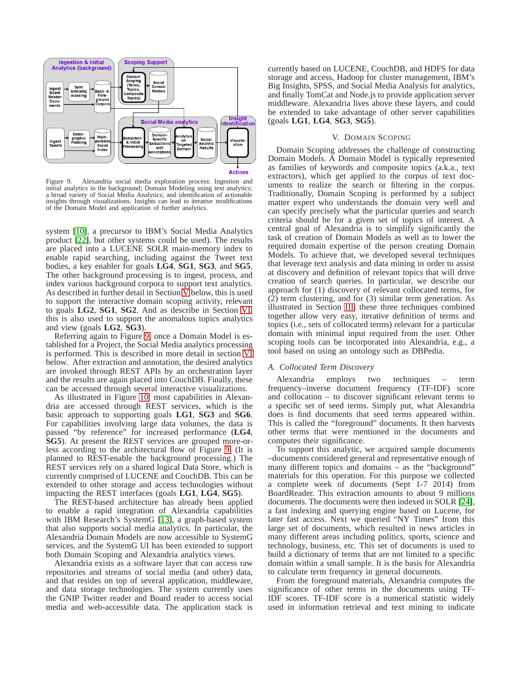

<span id="page-4-1"></span>Figure 9. Alexandria social media exploration process: Ingestion and initial analytics in the background; Domain Modeling using text analytics; a broad variety of Social Media Analytics; and identification of actionable insights through visualizations. Insights can lead to iterative modifications of the Domain Model and application of further analytics.

system [\[10\]](#page-7-7), a precursor to IBM's Social Media Analytics product [\[22\]](#page-7-8), but other systems could be used). The results are placed into a LUCENE SOLR main-memory index to enable rapid searching, including against the Tweet text bodies, a key enabler for goals **LG4**, **SG1**, **SG3**, and **SG5**. The other background processing is to ingest, process, and index various background corpora to support text analytics. As described in further detail in Section [V](#page-4-0) below, this is used to support the interactive domain scoping activity, relevant to goals **LG2**, **SG1**, **SG2**. And as describe in Section [VI,](#page-5-0) this is also used to support the anomalous topics analytics and view (goals **LG2**, **SG3**).

Referring again to Figure [9,](#page-4-1) once a Domain Model is established for a Project, the Social Media analytics processing is performed. This is described in more detail in section [VI](#page-5-0) below. After extraction and annotation, the desired analytics are invoked through REST APIs by an orchestration layer and the results are again placed into CouchDB. Finally, these can be accessed through several interactive visualizations.

As illustrated in Figure [10,](#page-5-1) most capabilities in Alexandria are accessed through REST services, which is the basic approach to supporting goals **LG1**, **SG3** and **SG6**. For capabilities involving large data volumes, the data is passed "by reference" for increased performance (**LG4**, **SG5**). At present the REST services are grouped more-orless according to the architectural flow of Figure [9.](#page-4-1) (It is planned to REST-enable the background processing.) The REST services rely on a shared logical Data Store, which is currently comprised of LUCENE and CouchDB. This can be extended to other storage and access technologies without impacting the REST interfaces (goals **LG1**, **LG4**, **SG5**).

The REST-based architecture has already been applied to enable a rapid integration of Alexandria capabilities with IBM Research's SystemG [\[13\]](#page-7-9), a graph-based system that also supports social media analytics. In particular, the Alexandria Domain Models are now accessible to SystemG services, and the SystemG UI has been extended to support both Domain Scoping and Alexandria analytics views.

Alexandria exists as a software layer that can access raw repositories and streams of social media (and other) data, and that resides on top of several application, middleware, and data storage technologies. The system currently uses the GNIP Twitter reader and Board reader to access social media and web-accessible data. The application stack is currently based on LUCENE, CouchDB, and HDFS for data storage and access, Hadoop for cluster management, IBM's Big Insights, SPSS, and Social Media Analysis for analytics, and finally TomCat and Node.js to provide application server middleware. Alexandria lives above these layers, and could be extended to take advantage of other server capabilities (goals **LG1**, **LG4**, **SG3**, **SG5**).

# V. DOMAIN SCOPING

<span id="page-4-0"></span>Domain Scoping addresses the challenge of constructing Domain Models. A Domain Model is typically represented as families of keywords and composite topics (a.k.a., text extractors), which get applied to the corpus of text documents to realize the search or filtering in the corpus. Traditionally, Domain Scoping is performed by a subject matter expert who understands the domain very well and can specify precisely what the particular queries and search criteria should be for a given set of topics of interest. A central goal of Alexandria is to simplify significantly the task of creation of Domain Models as well as to lower the required domain expertise of the person creating Domain Models. To achieve that, we developed several techniques that leverage text analysis and data mining in order to assist at discovery and definition of relevant topics that will drive creation of search queries. In particular, we describe our approach for (1) discovery of relevant collocated terms, for (2) term clustering, and for (3) similar term generation. As illustrated in Section [III,](#page-1-2) these three techniques combined together allow very easy, iterative definition of terms and topics (i.e., sets of collocated terms) relevant for a particular domain with minimal input required from the user. Other scoping tools can be incorporated into Alexandria, e.g., a tool based on using an ontology such as DBPedia.

## *A. Collocated Term Discovery*

Alexandria employs two techniques – term frequency–inverse document frequency (TF-IDF) score and collocation – to discover significant relevant terms to a specific set of seed terms. Simply put, what Alexandria does is find documents that seed terms appeared within. This is called the "foreground" documents. It then harvests other terms that were mentioned in the documents and computes their significance.

To support this analytic, we acquired sample documents –documents considered general and representative enough of many different topics and domains – as the "background" materials for this operation. For this purpose we collected a complete week of documents (Sept 1-7 2014) from BoardReader. This extraction amounts to about 9 millions documents. The documents were then indexed in SOLR [\[24\]](#page-7-10), a fast indexing and querying engine based on Lucene, for later fast access. Next we queried "NY Times" from this large set of documents, which resulted in news articles in many different areas including politics, sports, science and technology, business, etc. This set of documents is used to build a dictionary of terms that are not limited to a specific domain within a small sample. It is the basis for Alexandria to calculate term frequency in general documents.

From the foreground materials, Alexandria computes the significance of other terms in the documents using TF-IDF scores. TF-IDF score is a numerical statistic widely used in information retrieval and text mining to indicate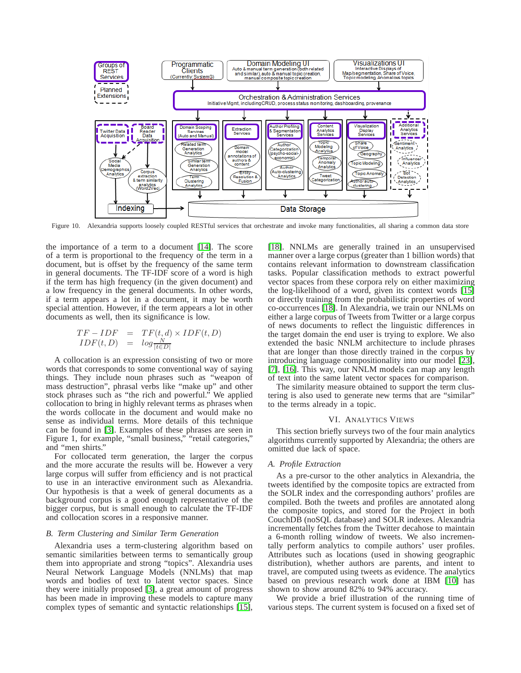

<span id="page-5-1"></span>Figure 10. Alexandria supports loosely coupled RESTful services that orchestrate and invoke many functionalities, all sharing a common data store

the importance of a term to a document [\[14\]](#page-7-11). The score of a term is proportional to the frequency of the term in a document, but is offset by the frequency of the same term in general documents. The TF-IDF score of a word is high if the term has high frequency (in the given document) and a low frequency in the general documents. In other words, if a term appears a lot in a document, it may be worth special attention. However, if the term appears a lot in other documents as well, then its significance is low.

$$
\begin{array}{rcl}\nTF - IDF & = & TF(t, d) \times IDF(t, D) \\
IDF(t, D) & = & log \frac{N}{|t \in D|}\n\end{array}
$$

A collocation is an expression consisting of two or more words that corresponds to some conventional way of saying things. They include noun phrases such as "weapon of mass destruction", phrasal verbs like "make up" and other stock phrases such as "the rich and powerful." We applied collocation to bring in highly relevant terms as phrases when the words collocate in the document and would make no sense as individual terms. More details of this technique can be found in [\[3\]](#page-7-12). Examples of these phrases are seen in Figure 1, for example, "small business," "retail categories," and "men shirts."

For collocated term generation, the larger the corpus and the more accurate the results will be. However a very large corpus will suffer from efficiency and is not practical to use in an interactive environment such as Alexandria. Our hypothesis is that a week of general documents as a background corpus is a good enough representative of the bigger corpus, but is small enough to calculate the TF-IDF and collocation scores in a responsive manner.

#### *B. Term Clustering and Similar Term Generation*

Alexandria uses a term-clustering algorithm based on semantic similarities between terms to semantically group them into appropriate and strong "topics". Alexandria uses Neural Network Language Models (NNLMs) that map words and bodies of text to latent vector spaces. Since they were initially proposed [\[3\]](#page-7-12), a great amount of progress has been made in improving these models to capture many complex types of semantic and syntactic relationships [\[15\]](#page-7-13), [\[18\]](#page-7-14). NNLMs are generally trained in an unsupervised manner over a large corpus (greater than 1 billion words) that contains relevant information to downstream classification tasks. Popular classification methods to extract powerful vector spaces from these corpora rely on either maximizing the log-likelihood of a word, given its context words [\[15\]](#page-7-13) or directly training from the probabilistic properties of word co-occurrences [\[18\]](#page-7-14). In Alexandria, we train our NNLMs on either a large corpus of Tweets from Twitter or a large corpus of news documents to reflect the linguistic differences in the target domain the end user is trying to explore. We also extended the basic NNLM architecture to include phrases that are longer than those directly trained in the corpus by introducing language compositionality into our model [\[23\]](#page-7-15), [\[7\]](#page-7-16), [\[16\]](#page-7-17). This way, our NNLM models can map any length of text into the same latent vector spaces for comparison.

The similarity measure obtained to support the term clustering is also used to generate new terms that are "similar" to the terms already in a topic.

# VI. ANALYTICS VIEWS

<span id="page-5-0"></span>This section briefly surveys two of the four main analytics algorithms currently supported by Alexandria; the others are omitted due lack of space.

#### *A. Profile Extraction*

As a pre-cursor to the other analytics in Alexandria, the tweets identified by the composite topics are extracted from the SOLR index and the corresponding authors' profiles are compiled. Both the tweets and profiles are annotated along the composite topics, and stored for the Project in both CouchDB (noSQL database) and SOLR indexes. Alexandria incrementally fetches from the Twitter decahose to maintain a 6-month rolling window of tweets. We also incrementally perform analytics to compile authors' user profiles. Attributes such as locations (used in showing geographic distribution), whether authors are parents, and intent to travel, are computed using tweets as evidence. The analytics based on previous research work done at IBM [\[10\]](#page-7-7) has shown to show around 82% to 94% accuracy.

We provide a brief illustration of the running time of various steps. The current system is focused on a fixed set of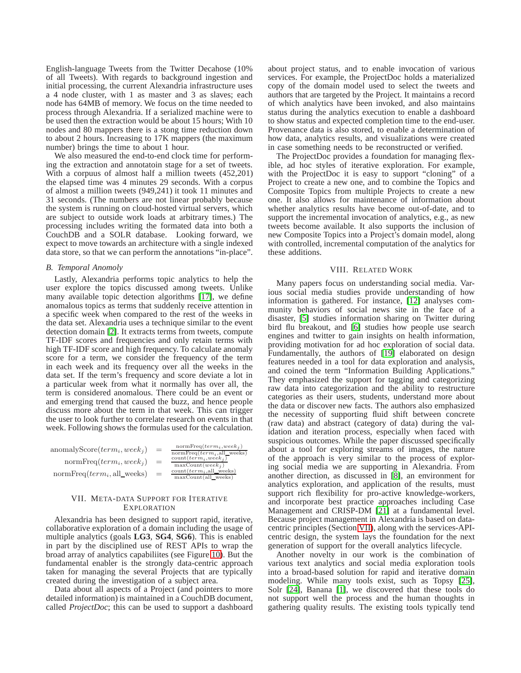English-language Tweets from the Twitter Decahose (10% of all Tweets). With regards to background ingestion and initial processing, the current Alexandria infrastructure uses a 4 node cluster, with 1 as master and 3 as slaves; each node has 64MB of memory. We focus on the time needed to process through Alexandria. If a serialized machine were to be used then the extraction would be about 15 hours; With 10 nodes and 80 mappers there is a stong time reduction down to about 2 hours. Increasing to 17K mappers (the maximum number) brings the time to about 1 hour.

We also measured the end-to-end clock time for performing the extraction and annotatoin stage for a set of tweets. With a corpuus of almost half a million tweets (452,201) the elapsed time was 4 minutes 29 seconds. With a corpus of almost a million tweets (949,241) it took 11 minutes and 31 seconds. (The numbers are not linear probably because the system is running on cloud-hosted virtual servers, which are subject to outside work loads at arbitrary times.) The processing includes writing the formated data into both a CouchDB and a SOLR database. Looking forward, we expect to move towards an architecture with a single indexed data store, so that we can perform the annotations "in-place".

## *B. Temporal Anomoly*

Lastly, Alexandria performs topic analytics to help the user explore the topics discussed among tweets. Unlike many available topic detection algorithms [\[17\]](#page-7-18), we define anomalous topics as terms that suddenly receive attention in a specific week when compared to the rest of the weeks in the data set. Alexandria uses a technique similar to the event detection domain [\[2\]](#page-7-19). It extracts terms from tweets, compute TF-IDF scores and frequencies and only retain terms with high TF-IDF score and high frequency. To calculate anomaly score for a term, we consider the frequency of the term in each week and its frequency over all the weeks in the data set. If the term's frequency and score deviate a lot in a particular week from what it normally has over all, the term is considered anomalous. There could be an event or and emerging trend that caused the buzz, and hence people discuss more about the term in that week. This can trigger the user to look further to correlate research on events in that week. Following shows the formulas used for the calculation.

| anomalyScore $(term_i, week_i)$ | $=$ | $normFreq(term_i, week_i)$                                |
|---------------------------------|-----|-----------------------------------------------------------|
|                                 |     | $normFreq(term_i, all\_weeks)$<br>$count(term_i, week_i)$ |
| $normFreq(term_i, week_i)$      | $=$ | maxCount(week <sub>j</sub> )                              |
| $normFreq(term_i, all\_weeks)$  | $=$ | $count(termi, all weeks)$<br>$maxCount(all \ weeks)$      |

# <span id="page-6-1"></span>VII. META-DATA SUPPORT FOR ITERATIVE **EXPLORATION**

Alexandria has been designed to support rapid, iterative, collaborative exploration of a domain including the usage of multiple analytics (goals **LG3**, **SG4**, **SG6**). This is enabled in part by the disciplined use of REST APIs to wrap the broad array of analytics capabiliites (see Figure [10\)](#page-5-1). But the fundamental enabler is the strongly data-centric approach taken for managing the several Projects that are typically created during the investigation of a subject area.

Data about all aspects of a Project (and pointers to more detailed information) is maintained in a CouchDB document, called *ProjectDoc*; this can be used to support a dashboard about project status, and to enable invocation of various services. For example, the ProjectDoc holds a materialized copy of the domain model used to select the tweets and authors that are targeted by the Project. It maintains a record of which analytics have been invoked, and also maintains status during the analytics execution to enable a dashboard to show status and expected completion time to the end-user. Provenance data is also stored, to enable a determination of how data, analytics results, and visualizations were created in case something needs to be reconstructed or verified.

The ProjectDoc provides a foundation for managing flexible, ad hoc styles of iterative exploration. For example, with the ProjectDoc it is easy to support "cloning" of a Project to create a new one, and to combine the Topics and Composite Topics from multiple Projects to create a new one. It also allows for maintenance of information about whether analytics results have become out-of-date, and to support the incremental invocation of analytics, e.g., as new tweets become available. It also supports the inclusion of new Composite Topics into a Project's domain model, along with controlled, incremental computation of the analytics for these additions.

## VIII. RELATED WORK

<span id="page-6-0"></span>Many papers focus on understanding social media. Various social media studies provide understanding of how information is gathered. For instance, [\[12\]](#page-7-20) analyses community behaviors of social news site in the face of a disaster, [\[5\]](#page-7-21) studies information sharing on Twitter during bird flu breakout, and [\[6\]](#page-7-22) studies how people use search engines and twitter to gain insights on health information, providing motivation for ad hoc exploration of social data. Fundamentally, the authors of [\[19\]](#page-7-0) elaborated on design features needed in a tool for data exploration and analysis, and coined the term "Information Building Applications." They emphasized the support for tagging and categorizing raw data into categorization and the ability to restructure categories as their users, students, understand more about the data or discover new facts. The authors also emphasized the necessity of supporting fluid shift between concrete (raw data) and abstract (category of data) during the validation and iteration process, especially when faced with suspicious outcomes. While the paper discussed specifically about a tool for exploring streams of images, the nature of the approach is very similar to the process of exploring social media we are supporting in Alexandria. From another direction, as discussed in [\[8\]](#page-7-1), an environment for analytics exploration, and application of the results, must support rich flexibility for pro-active knowledge-workers, and incorporate best practice approaches including Case Management and CRISP-DM [\[21\]](#page-7-3) at a fundamental level. Because project management in Alexandria is based on datacentric principles (Section [VII\)](#page-6-1), along with the services-APIcentric design, the system lays the foundation for the next generation of support for the overall analytics lifecycle.

Another novelty in our work is the combination of various text analytics and social media exploration tools into a broad-based solution for rapid and iterative domain modeling. While many tools exist, such as Topsy [\[25\]](#page-7-23), Solr [\[24\]](#page-7-10), Banana [\[1\]](#page-7-6), we discovered that these tools do not support well the process and the human thoughts in gathering quality results. The existing tools typically tend